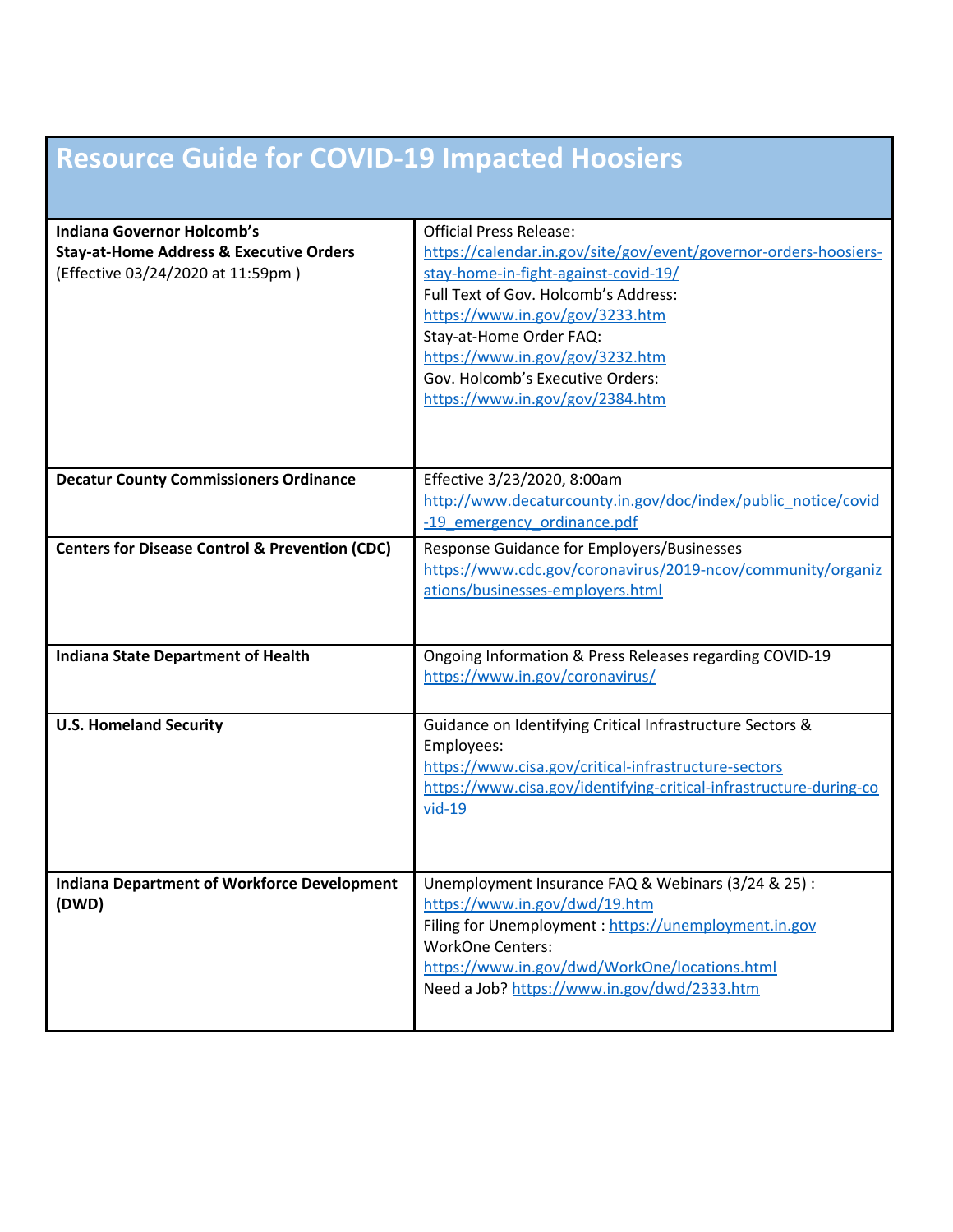## **Resource Guide for COVID-19 Impacted Hoosiers**

| <b>Indiana Governor Holcomb's</b><br><b>Stay-at-Home Address &amp; Executive Orders</b><br>(Effective 03/24/2020 at 11:59pm) | <b>Official Press Release:</b><br>https://calendar.in.gov/site/gov/event/governor-orders-hoosiers-<br>stay-home-in-fight-against-covid-19/<br>Full Text of Gov. Holcomb's Address:<br>https://www.in.gov/gov/3233.htm<br>Stay-at-Home Order FAQ:<br>https://www.in.gov/gov/3232.htm<br>Gov. Holcomb's Executive Orders:<br>https://www.in.gov/gov/2384.htm |
|------------------------------------------------------------------------------------------------------------------------------|------------------------------------------------------------------------------------------------------------------------------------------------------------------------------------------------------------------------------------------------------------------------------------------------------------------------------------------------------------|
| <b>Decatur County Commissioners Ordinance</b>                                                                                | Effective 3/23/2020, 8:00am<br>http://www.decaturcounty.in.gov/doc/index/public_notice/covid<br>-19 emergency ordinance.pdf                                                                                                                                                                                                                                |
| <b>Centers for Disease Control &amp; Prevention (CDC)</b>                                                                    | Response Guidance for Employers/Businesses<br>https://www.cdc.gov/coronavirus/2019-ncov/community/organiz<br>ations/businesses-employers.html                                                                                                                                                                                                              |
| <b>Indiana State Department of Health</b>                                                                                    | Ongoing Information & Press Releases regarding COVID-19<br>https://www.in.gov/coronavirus/                                                                                                                                                                                                                                                                 |
| <b>U.S. Homeland Security</b>                                                                                                | Guidance on Identifying Critical Infrastructure Sectors &<br>Employees:<br>https://www.cisa.gov/critical-infrastructure-sectors<br>https://www.cisa.gov/identifying-critical-infrastructure-during-co<br>$vid-19$                                                                                                                                          |
| <b>Indiana Department of Workforce Development</b><br>(DWD)                                                                  | Unemployment Insurance FAQ & Webinars (3/24 & 25) :<br>https://www.in.gov/dwd/19.htm<br>Filing for Unemployment: https://unemployment.in.gov<br><b>WorkOne Centers:</b><br>https://www.in.gov/dwd/WorkOne/locations.html<br>Need a Job? https://www.in.gov/dwd/2333.htm                                                                                    |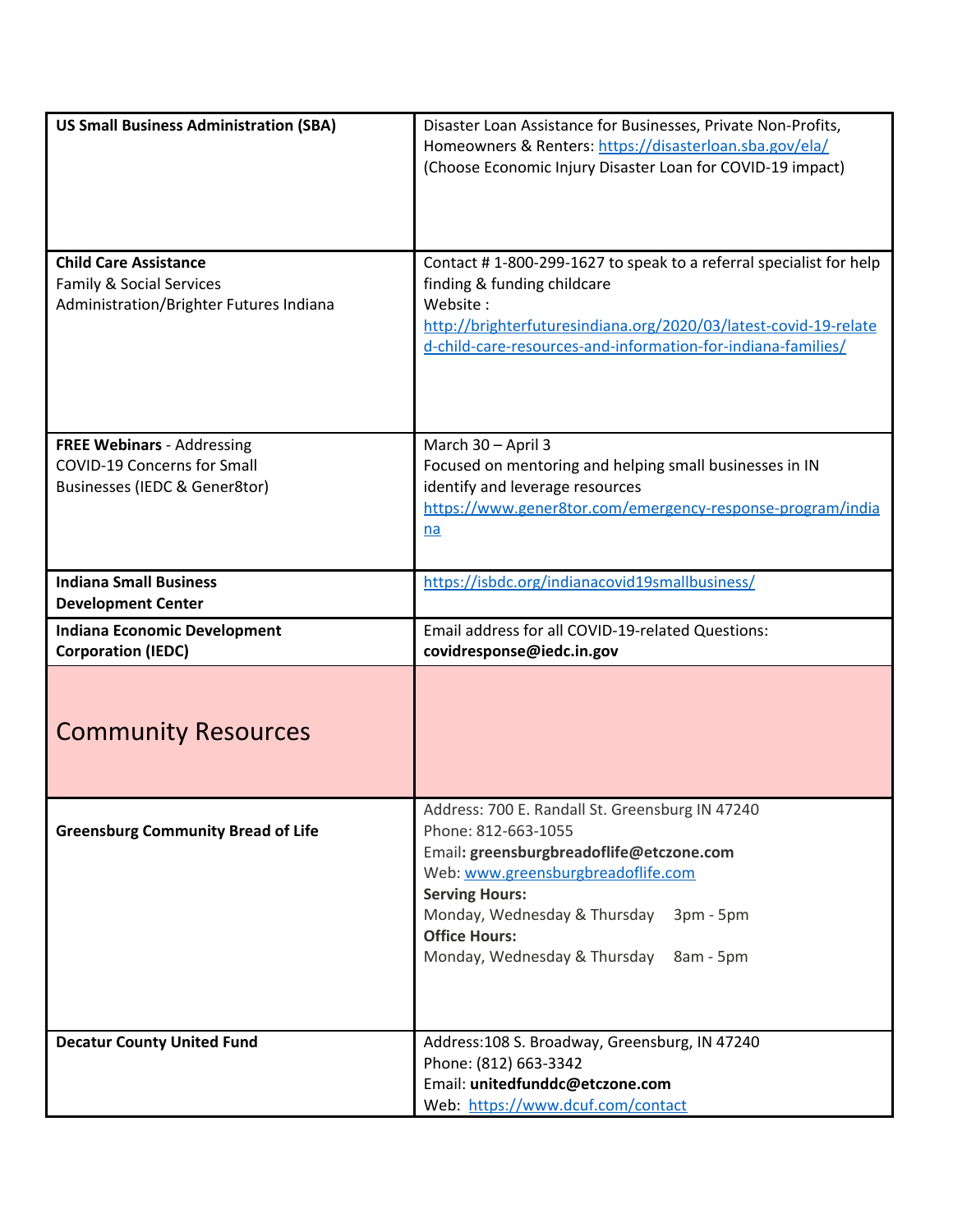| <b>US Small Business Administration (SBA)</b>                                                                  | Disaster Loan Assistance for Businesses, Private Non-Profits,<br>Homeowners & Renters: https://disasterloan.sba.gov/ela/<br>(Choose Economic Injury Disaster Loan for COVID-19 impact)                                                                                                              |
|----------------------------------------------------------------------------------------------------------------|-----------------------------------------------------------------------------------------------------------------------------------------------------------------------------------------------------------------------------------------------------------------------------------------------------|
| <b>Child Care Assistance</b><br><b>Family &amp; Social Services</b><br>Administration/Brighter Futures Indiana | Contact #1-800-299-1627 to speak to a referral specialist for help<br>finding & funding childcare<br>Website:<br>http://brighterfuturesindiana.org/2020/03/latest-covid-19-relate<br>d-child-care-resources-and-information-for-indiana-families/                                                   |
| <b>FREE Webinars - Addressing</b><br><b>COVID-19 Concerns for Small</b><br>Businesses (IEDC & Gener8tor)       | March 30 - April 3<br>Focused on mentoring and helping small businesses in IN<br>identify and leverage resources<br>https://www.gener8tor.com/emergency-response-program/india<br>na                                                                                                                |
| <b>Indiana Small Business</b><br><b>Development Center</b>                                                     | https://isbdc.org/indianacovid19smallbusiness/                                                                                                                                                                                                                                                      |
| <b>Indiana Economic Development</b><br><b>Corporation (IEDC)</b>                                               | Email address for all COVID-19-related Questions:<br>covidresponse@iedc.in.gov                                                                                                                                                                                                                      |
| <b>Community Resources</b>                                                                                     |                                                                                                                                                                                                                                                                                                     |
| <b>Greensburg Community Bread of Life</b>                                                                      | Address: 700 E. Randall St. Greensburg IN 47240<br>Phone: 812-663-1055<br>Email: greensburgbreadoflife@etczone.com<br>Web: www.greensburgbreadoflife.com<br><b>Serving Hours:</b><br>Monday, Wednesday & Thursday<br>3pm - 5pm<br><b>Office Hours:</b><br>Monday, Wednesday & Thursday<br>8am - 5pm |
| <b>Decatur County United Fund</b>                                                                              | Address: 108 S. Broadway, Greensburg, IN 47240<br>Phone: (812) 663-3342<br>Email: unitedfunddc@etczone.com<br>Web: https://www.dcuf.com/contact                                                                                                                                                     |